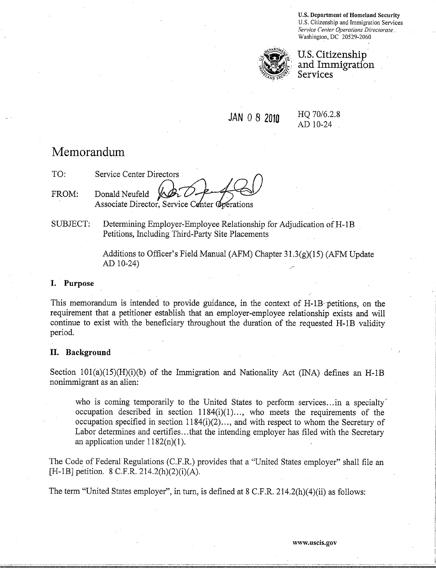U.S. Department of Homeland Security U.S. Citizenship and Immigration Services *Service Center Operations Directorate.*  Washington, DC 20529-2060



U.S. Citizenship and Immigration **Services** 

# JAN 0 8 2010

HQ 70/6.2.8 AD 10-24

# Memorandum

TO: Service Center Directors FROM: Donald Neufeld Associate Director, Service Center Operations

SUBJECT: Determining Employer-Employee Relationship for Adjudication of H-1B Petitions, Including Third-Party Site Placements

> Additions to Officer's Field Manual (AFM) Chapter  $31.3(g)(15)$  (AFM Update  $AD 10-24$

#### I. Purpose

This memorandum is intended to provide guidance, in the context of H-1B-petitions, on the requirement that a petitioner establish that an employer-employee relationship exists and will continue to exist with the beneficiary throughout the duration of the requested H-1B validity period.

### II. Background

Section  $101(a)(15)(H)(i)$  of the Immigration and Nationality Act (INA) defines an H-1B nonimmigrant as an alien:

who is coming temporarily to the United States to perform services...in a specialty occupation described in section  $1184(i)(1)...$ , who meets the requirements of the occupation specified in section 1184(i)(2) ... , and with respect to whom the Secretary of Labor determines and certifies...that the intending employer has filed with the Secretary an application under  $1182(n)(1)$ .

The Code of Federal Regulations (C.F.R.) provides that a "United States employer" shall file an [H-1B] petition. 8 C.F.R. 214.2(h)(2)(i)(A).

The term "United States employer", in turn, is defined at 8 C.F.R. 214.2(h)(4)(ii) as follows: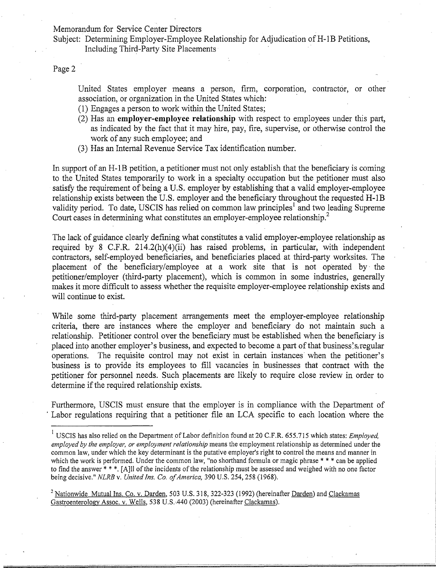Subject: Determining Employer-Employee Relationship for Adjudication of H-1B Petitions, Including Third-Party Site Placements

Page 2

United States employer means a person, firm, corporation, contractor, or other association, or organization in the United States which: .

- (1) Engages a person to work within the United States;
- (2) Has an employer-employee **relationship** with respect to employees under this part, as indicated by the fact that it may hire, pay, fire, supervise, or otherwise control the work of any such employee; and
- (3) Has an Internal Revenue Service Tax identification number.

In support of an H-1B petition, a petitioner must not only establish that the beneficiary is coming to the United States temporarily to work in a specialty occupation but the petitioner must also satisfy the requirement of being a U.S. employer by establishing that a valid employer-employee relationship exists between the U.S. employer and the beneficiary throughout the requested H-IB validity period. To date, USCIS has relied on common law principles<sup>1</sup> and two leading Supreme Court cases in determining what constitutes an employer-employee relationship.<sup>2</sup>

The lack of guidance clearly defining what constitutes a valid employer-employee relationship as required by 8 C.F.R. 214.2(h)(4)(ii) has raised problems, in particular, with independent contractors, self-employed beneficiaries, and beneficiaries placed at third-party worksites. The placement of the beneficiary/employee at a work site that is not operated by' the petitioner/employer (third-party placement), which is common in some industries, generally makes it more difficult to assess whether the requisite employer-employee relationship exists and will continue to exist.

While some third-party placement arrangements meet the employer-employee relationship criteria, there are instances where the employer and beneficiary do not maintain such a relationship. Petitioner control over the beneficiary must be established when the beneficiary is placed into another employer's business, and expected to become a part of that business's regular operations. The requisite control may not exist in certain instances' when the petitioner's business is to provide its employees to fill vacancies in businesses that contract with the petitioner for personnel needs. Such placements are likely to require close review in order to determine if the required relationship exists.

Furthermore, USCIS must ensure that the employer is in compliance with the Department of . Labor regulations requiring that a petitioner file an LCA specific to each location where the

<sup>!</sup> USCIS has also relied on the Department of Labor definition found at 20 C.F.R. 655.715 which states: *Employed, employed by the employer, or employment relationship* means the employment relationship as determined under the common law, under which the key determinant is the putative employer's right to control the means and manner in which the work is performed. Under the common law, "no shorthand formula or magic phrase \* \* \* can be applied to find the answer \* \* \*. [A]II of the incidents of the relationship must be assessed and weighed with no one factor being decisive." *NLRB* v. *United Ins. Co. of America,* 390 U.S. 254,258 (1968).

<sup>2</sup> Nationwide Mutual Ins. Co. v. Darden, 503 U.S. 318, 322-323 (1992) (hereinafter Darden) and Clackamas Gastroenterology Assoc. v. Wells, 538 U.S. 440 (2003) (hereinafter Clackamas).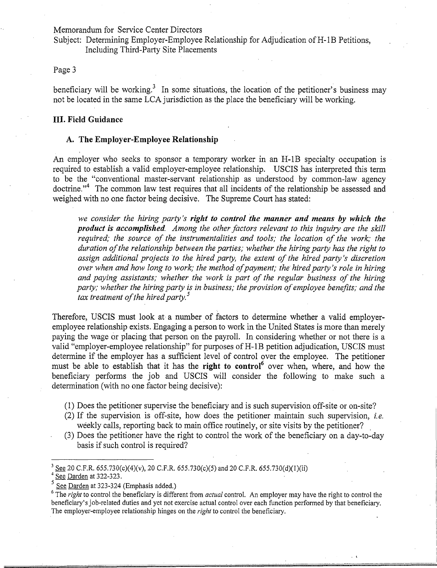Subject: Determining Employer-Employee Relationship for Adjudication of H-1B Petitions, Including Third-Party Site Placements

#### Page 3

beneficiary will be working.<sup>3</sup> In some situations, the location of the petitioner's business may not be located in the same LCA jurisdiction as the place the beneficiary will be working.

#### **III.** Field Guidance

#### A. The Employer-Employee Relationship

An employer who seeks to sponsor a temporary worker in an H-IB specialty occupation is required to establish a valid employer-employee relationship. USCIS has interpreted this term to be the "conventional master-servant relationship as understood by common-law agency doctrine."<sup>4</sup> The common law test requires that all incidents of the relationship be assessed and weighed with no one factor being decisive. The Supreme Court has stated:

*we consider the hiring party's right to control the manner and means* by *which the product is accomplished. Among the other factors relevant to this inquiry are the skill required,' the source of the instrumentalities and tools,' the location of the work,' the duration of the relationship between the parties,' whether the hiring party has the right to assign additional projects 'to the hired party, the extent of the hired party's discretion over when and how long to work; the method of payment; the hired party's role in hiring and paying assistants,' whether the work is part of the regular business of the hiring party; whether the hiring party is in business,' the provision of employee benefits; and the tax treatment of the hired party. 5* 

Therefore, USCIS must look at a number of factors to determine whether a valid employeremployee relationship exists. Engaging a person to work in the United States is more than merely paying the wage or placing that person on the payroll. In considering whether or not there is a valid "employer-employee relationship" for purposes of H-1B petition adjudication, USCIS must determine if the employer has a sufficient level of control over the employee. The petitioner must be able to establish that it has the right to control<sup>6</sup> over when, where, and how the beneficiary performs the job and USCIS will consider the following to make such a determination (with no one factor being decisive):

- (1) Does the petitioner supervise the beneficiary and is such supervision off-site or on-site?
- $(2)$  If the supervision is off-site, how does the petitioner maintain such supervision, *i.e.* weekly calls, reporting back to main office routinely, or site visits by the petitioner?
- (3) Does the petitioner have the right to control the work of the beneficiary on a day-to-day basis if such control is required?

See 20 C.F.R. 655.730(c)(4)(v), 20 C.F.R. 655.730(c)(5) and 20 C.F.R. 655.730(d)(1)(ii)

See Darden at 322-323.

<sup>5</sup> See Darden at 323-324 (Emphasis added.)

<sup>6</sup> The *right* to control the beneficiary is different from *actual* control. An employer may have the right to control the beneficiary's job-related duties and yet not exercise actual control over each function performed by that beneficiary. The employer-employee relationship hinges on the *right* to control the beneficiary.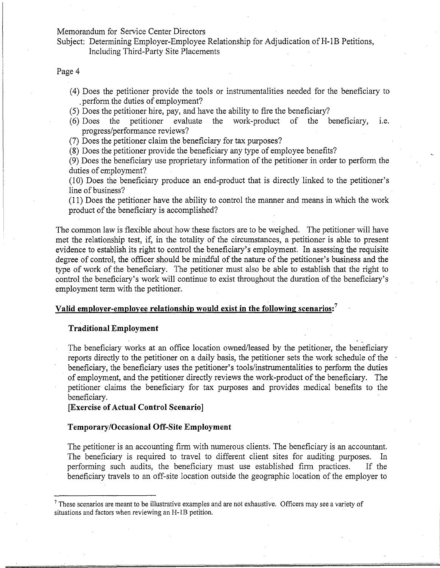Subject: Determining Employer-Employee Relationship for Adjudication of H-1B Petitions, Including Third-Party Site Placements

## Page 4

- (4) Does the petitioner provide the tools or instrumentalities needed for the beneficiary to . perform the duties of employment?
- (5) Does the petitioner hire, pay, and have the ability to fire the beneficiary?<br>(6) Does the petitioner evaluate the work-product of the b
- (6) Does the petitioner evaluate the work-product of the beneficiary, i.e. progress/performance reviews?
- (7) Does the petitioner claim the beneficiary for tax purposes?
- (8) Does the petitioner provide the beneficiary any type of employee benefits?

(9) Does the beneficiary use proprietary information of the petitioner in order to perform the duties of employment?

(10) Does the beneficiary produce an end-product that is directly linked to the petitioner's line of business?

(11) Does the petitioner have the ability to control the manner and means in which the work product of the beneficiary is accomplished?

The common law is flexible about how these factors are to be weighed. The petitioner will have met the relationship test, if, in the totality of the circumstances, a petitioner is able to present evidence to establish its right to control the beneficiary's employment. In assessing the requisite degree of control, the officer should be mindful of the nature of the petitioner's business and the type of work of the beneficiary. The petitioner must also be able to establish that the right to control the beneficiary's work will continue to exist throughout the duration of the beneficiary's employment term with the petitioner.

## **Valid employer-employee relationship would exist in the following scenarios:<sup>7</sup>**

#### **Traditional Employment**

The beneficiary works at an office location owned/leased by the petitioner, the beneficiary reports directly to the petitioner on a daily basis, the petitioner sets the work schedule of the beneficiary, the beneficiary uses the petitioner's tools/instrumentalities to perform the duties of employment, and the petitioner directly reviews the work-product of the beneficiary. The petitioner claims the beneficiary for tax purposes and provides medical benefits to the beneficiary.

## **[Exercise of Actual Control Scenario]**

#### **Temporary/Occasional Off-Site Employment**

The petitioner is an accounting firm with numerous clients. The beneficiary is an accountant. The beneficiary is required to travel to different client sites for auditing purposes. In performing such audits, the beneficiary must use established finn practices. If the beneficiary travels to an off-site location outside the geographic location of the employer to

<sup>&</sup>lt;sup>7</sup> These scenarios are meant to be illustrative examples and are not exhaustive. Officers may see a variety of situations and factors when reviewing an H-lB petition.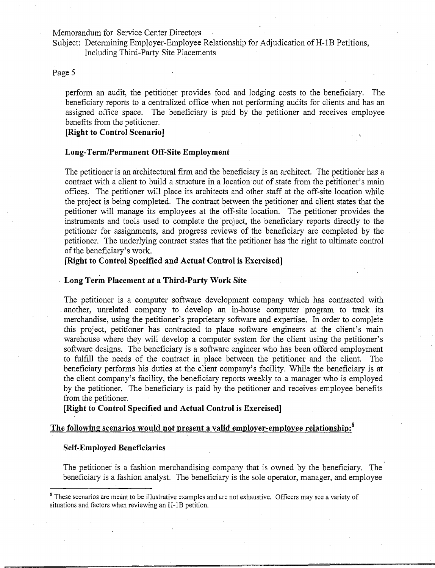Subject: Determining Employer-Employee Relationship for Adjudication of H-1B Petitions, Including Third-Party Site Placements

## Page 5

perform an audit, the petitioner provides food and lodging costs to the beneficiary. The beneficiary reports to a centralized office when not performing audits for clients and has an assigned office space. The beneficiary is paid by the petitioner and receives employee benefits from the petitioner.

## **[Right to Control Scenario]**

#### **Long-Term/Permanent Off-Site Employment**

The petitioner is an architectural firm and the beneficiary is an architect. The petitioner has a contract with a client to build a structure in a location out of state from the petitioner's main offices. The petitioner will place its architects and other staff at the off-site location while the project is being completed. The contract between the petitioner and client states that the petitioner will manage its employees at the off-site location. The petitioner provides the instruments and tools used to complete the project, the beneficiary reports directly to the petitioner for assignments, and progress reviews of the beneficiary are completed by the petitioner. The underlying contract states that the petitioner has the right to ultimate control of the beneficiary's work.

**[Right to Control Specified and Actual Control is Exercised]** 

#### **Long Term Placement at a Third-Party Work Site**

The petitioner is a computer software development company which has contracted with another, unrelated company to develop an in-house computer ·program to track its merchandise, using the petitioner's proprietary software and expertise. In order to complete this project, petitioner has contracted to place software engineers at the client's main warehouse where they will develop a computer system for the client using the petitioner's software designs. The beneficiary is a software engineer who has been offered employment to fulfill the needs of the contract in place between the petitioner and the client. The beneficiary performs his duties at the client company's facility. While the beneficiary is at the client company's facility, the beneficiary reports weekly to a manager who is employed by the petitioner. The beneficiary is paid by the petitioner and receives employee benefits from the petitioner.

**[Right to Control Specified and Actual Control is Exercised]** 

## **The following scenarios would not present a valid employer-employee relationship:8**

#### **Self-Employed Beneficiaries**

The petitioner is a fashion merchandising company that is owned by the beneficiary. The beneficiary is a fashion analyst. The beneficiary is the sole operator, manager, and employee

<sup>&</sup>lt;sup>8</sup> These scenarios are meant to be illustrative examples and are not exhaustive. Officers may see a variety of situations and factors when reviewing an H-IB petition.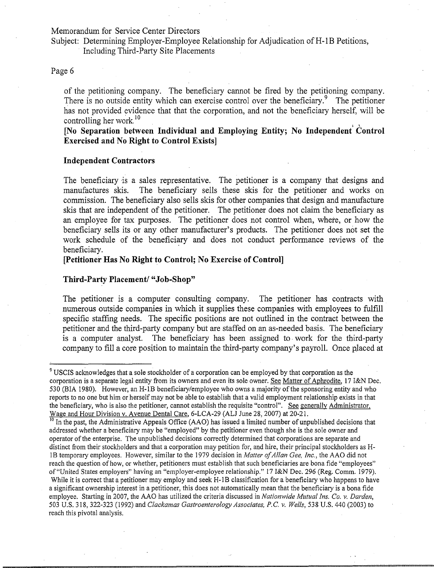Subject: Determining Employer-Employee Relationship for Adjudication of H-1B Petitions,

Including Third-Party Site Placements

## Page 6

of the petitioning company. The beneficiary cannot be fired by the petitioning company. There is no outside entity which can exercise control over the beneficiary.<sup>9</sup> The petitioner has not provided evidence that that the corporation, and not the beneficiary herself, will be controlling her work.<sup>10</sup><br>[No Separation between Individual and Employing Entity; No Independent Control

**Exercised and No Right to Control Exists]** 

#### **Independent Contractors**

The beneficiary is a sales representative. The petitioner is a company that designs and manufactures skis. The beneficiary sells these skis for the petitioner and works on commission. The beneficiary also sells skis for other companies that design and manufacture skis that are independent of the petitioner. The petitioner does not claim the beneficiary as an employee for tax purposes. The petitioner does not control when, where, or how the beneficiary sells its or any other manufacturer's products. The petitioner does not set the work schedule of the beneficiary and does not conduct performance reviews of the beneficiary. .

### **[Petitioner Has No** Right to **Control; No Exercise** of Control]

#### **Third-Party Placement/ "Job-Shop"**

The petitioner is a computer consulting company. The petitioner has contracts with numerous outside companies in which it supplies these companies with employees to fulfill specific staffing needs. The specific positions are not outlined in the contract between the petitioner and the third-party company but are staffed on an as-needed basis. The beneficiary is a computer analyst. The beneficiary has been assigned to· work for the third-party company to fill a core posjtion to maintain the third-party company's payroll. Once placed at

<sup>&</sup>lt;sup>9</sup> USCIS acknowledges that a sole stockholder of a corporation can be employed by that corporation as the corporation is a separate legal entity from its owners and even its sole owner. See Matter of Aphrodite, 17 I&N Dec. 530 (BIA 1980). However, an H-IB beneficiary/employee who owns a majority of the sponsoring entity and who reports to no one but him or herself may not be able to establish that a valid employment relationship exists in that the beneficiary, who is also the petitioner, cannot establish the requisite "control". See generally Administrator, Wage and Hour Division v. Avenue Dental Care, 6-LCA-29 (ALJ June 28,2007) at 20-21.

<sup>&</sup>lt;sup>10</sup> In the past, the Administrative Appeals Office (AAO) has issued a limited number of unpublished decisions that addressed whether a beneficiary may be "employed" by the petitioner even though she is the sole owner and operator of the enterprise. The unpublished decisions correctly determined that corporations are separate and distinct from their stockholders and that a corporation may petition for, and hire, their principal stockholders as H-1B temporary employees. However, similar to the 1979 decision in *Matter of Allan Gee, Inc.*, the AAO did not reach the question of how, or whether, petitioners must establish that such beneficiaries are bona fide "employees" of "United States employers" having an "employer-employee relationship." 17 I&N Dec. 296 (Reg. Comm. 1979). While it is correct that a petitioner may employ and seek H-1B classification for a beneficiary who happens to have

a significant ownership interest in a petitioner, this does not automatically mean that the beneficiary is a bona fide emplpyee. Starting in 2007, the AAO has utilized the criteria discussed in *Nationwide Mutual Ins. Co. v. Darden,*  503 U.S. 318, 322-323 (l992) and *Clackamas Gastroenterology Associates, P.e. v. Wells,* 538 U.S. 440 (2003) to reach this pivotal analysis.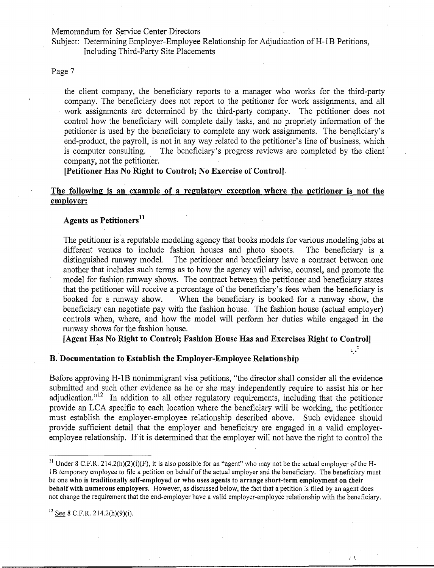Subject: Determining Employer-Employee Relationship for Adjudication of H-1B Petitions, Including Third-Party Site Placements

#### Page 7

the client company, the beneficiary reports to a manager who works for the third-party company. The beneficiary does not report to the petitioner for work assignments, and all work assignments are determined by the third-party company. The petitioner does not control how the beneficiary will complete daily tasks, and no propriety information of the petitioner is used by the beneficiary to complete any work assignments. The beneficiary's end-product, the payroll, is not in any way related to the petitioner's line of business, which is computer consulting. The beneficiary's progress reviews are completed by the client company, not the petitioner.

[Petitioner Has No Right to Control; No Exercise of Control].

## The following is an example of a regulatory exception where the petitioner is not the employer:

## Agents as Petitioners<sup>11</sup>

The petitioner is a reputable modeling agency that books models for various modeling jobs at different venues to include fashion houses and photo shoots. The beneficiary is a distinguished runway model. The petitioner and beneficiary have a contract between one another that includes such terms as to how the agency will advise, counsel, and promote the model for fashion runway shows. The contract between the petitioner and beneficiary states that the petitioner will receive a percentage of the beneficiary's fees when the beneficiary is booked for a runway show. When the beneficiary is booked for a runway show, the beneficiary can negotiate pay with the fashion house. The fashion house (actual employer) controls when, where, and how the model will perform her duties while engaged in the runway shows for the fashion house.

[Agent Has No Right to Control; Fashion House Has and Exercises Right to Control]

آريا

 $\sqrt{2}$ 

## B. Documentation to Establish the Employer-Employee Relationship

Before approving H-1B nonimmigrant visa petitions, "the director shall consider all the evidence submitted and such other evidence as he or she may independently require to assist his or her adjudication. $n^{12}$  In addition to all other regulatory requirements, including that the petitioner provide an LCA specific to each location where the beneficiary will be working, the petitioner must establish the employer-employee relationship described above. Such evidence should provide sufficient detail that the employer and beneficiary are engaged in a valid employeremployee relationship. If it is determined that the employer will not have the right to control the

<sup>&</sup>lt;sup>11</sup> Under 8 C.F.R. 214.2(h)(2)(i)(F), it is also possible for an "agent" who may not be the actual employer of the H-1 B temporary employee to file a petition on behalf of the actual employer and the beneficiary. The beneficimy must be one who is traditionally self-employed or who uses agents to arrange short-term employment on their behalf with numerous employers. However, as discussed below, the fact that a petition is filed by an agent does not change the requirement that the end-employer have a valid employer-employee relationship with the beneficiary.

 $12$  See 8 C.F.R. 214.2(h)(9)(i).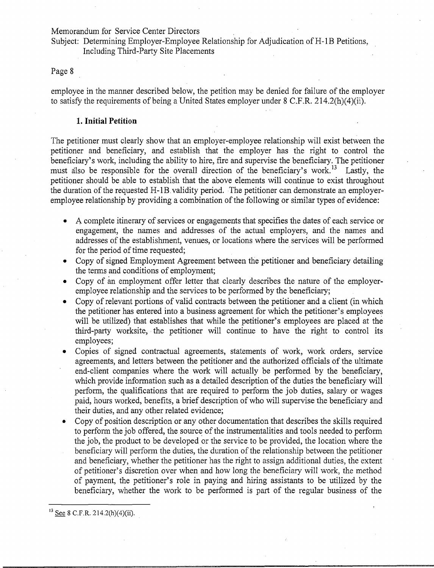Subject: Determining Employer-Employee Relationship for Adjudication of H-1B Petitions, Including Third-Party Site Placements

## Page 8

employee in the manner described below, the petition may be denied for failure of the employer to satisfy the requirements of being a United States employer under 8 C.F.R. 214.2(h)(4)(ii).

## **1. Initial Petition**

The petitioner must clearly show that an employer-employee relationship will exist between the petitioner and beneficiary, and establish that the employer has the right to control the beneficiary's work, including the ability to hire, fire and supervise the beneficiary. The petitioner must also be responsible for the overall direction of the beneficiary's work.<sup>13</sup> Lastly, the petitioner should be able to establish that the above elements will continue to exist throughout the duration of the requested H-IB.validity period. The petitioner can demonstrate an employeremployee relationship by providing a combination of the following or similar types of evidence:

- A complete itinerary of services or engagements that specifies the dates of each service or engagement, the names and addresses of the actual employers, and the names and addresses of the establishment, venues, or locations where the services will be performed for the period of time requested;
- Copy of signed Employment Agreement between the petitioner and beneficiary detailing the terms and conditions of employment;
- Copy of an employment offer letter that clearly describes the nature of the employeremployee relationship and the services to be performed by the beneficiary;
- Copy of relevant portions of valid contracts between the petitioner and a client (in which the petitioner has entered into a business agreement for which the petitioner's employees will be utilized) that establishes that while the petitioner's employees are placed at the third-party worksite, the petitioner will continue to have the right to control its employees;
- Copies of signed contractual agreements, statements of work, work orders, service agreements, and letters between the petitioner and the authorized officials of the ultimate end-client companies where the work will actually be performed by the beneficiary, which provide information such as a detailed description of the duties the beneficiary will perform, the qualifications that are required to perform the job duties, salary or wages paid, hours worked, benefits, a brief description of who will supervise the beneficiary and their duties, and any other related evidence;
- Copy of position description or any other documentation that describes the skills required to perform the job offered, the source of the instrumentalities and tools needed to perform the job, the product to be developed or the service to be provided, the location where the beneficiary will perform the duties, the duration of the relationship between the petitioner and beneficiary, whether the petitioner has the right to assign additional duties, the extent of petitioner's discretion over when and how long the beneficiary will work, the method of payment, the petitioner's role in paying and hiring assistants to be utilized by the beneficiary, whether the work to be performed is part of the regular business of the

 $13$  See 8 C.F.R. 214.2(h)(4)(ii).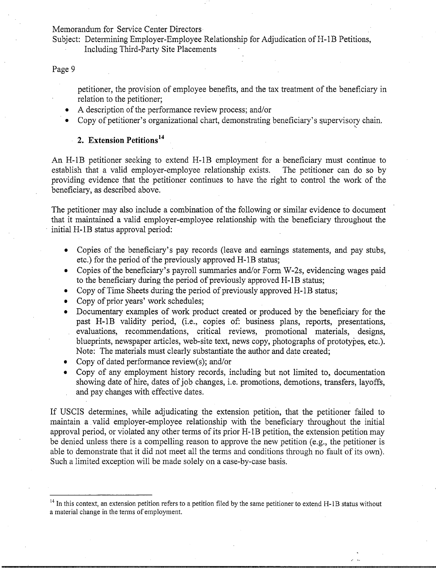Subject: Determining Employer-Employee Relationship for Adjudication of H-1B Petitions, Including Third-Party Site Placements

#### Page 9

petitioner, the provision of employee benefits, and the tax treatment of the beneficiary in relation to the petitioner;

'.

- A description of the performance review process; and/or
- Copy of petitioner's organizational chart, demonstrating beneficiary's supervisory chain.

## **2. Extension Petitions <sup>14</sup>**

An H-IB petitioner seeking to extend H-IB employment for a beneficiary must continue to establish that a valid employer-employee relationship exists. The petitioner can do so by providing evidence that the petitioner continues to have the right to control the work of the beneficiary, as described above.

The petitioner may also include a combination of the following or similar evidence to document that it maintained a valid employer-employee relationship with the beneficiary throughout the initial H-IB status approval period:

- Copies of the beneficiary's pay records (leave and earnings statements, and pay stubs, etc.) for the period of the previously approved H-IB status;
- Copies of the beneficiary's payroll summaries and/or Form W-2s, evidencing wages paid to the beneficiary during the period of previously approved H-IB status;
- Copy of Time Sheets during the period of previously approved H-IB status;
- Copy of prior years' work schedules;
- Documentary examples of work product created or produced by the beneficiary for the past H-IB validity period, (i.e., copies of: business plans, reports, presentations, evaluations, recommendations, critical reviews, promotional materials, designs, blueprints, newspaper articles, web-site text, news copy, photographs of prototypes, etc.). Note: The materials must clearly substantiate the author and date created;
- Copy of dated performance review(s); and/or
- Copy of any employment history records, including but not limited to, documentation showing date of hire, dates of job changes, i.e. promotions, demotions, transfers, layoffs, and pay changes with effective dates.

If USCIS determines, while adjudicating the extension petition, that the petitioner failed to maintain a valid employer-employee relationship with the beneficiary throughout the initial approval period, or violated any other terms of its prior H-1B petition, the extension petition may be denied unless there is a compelling reason to approve the new petition (e.g., the petitioner is able to demonstrate that it did not meet all the terms and conditions through no fault of its own). Such a limited exception will be made solely on a case-by-case basis.

 $14$  In this context, an extension petition refers to a petition filed by the same petitioner to extend H-1B status without a material change in the terms of employment.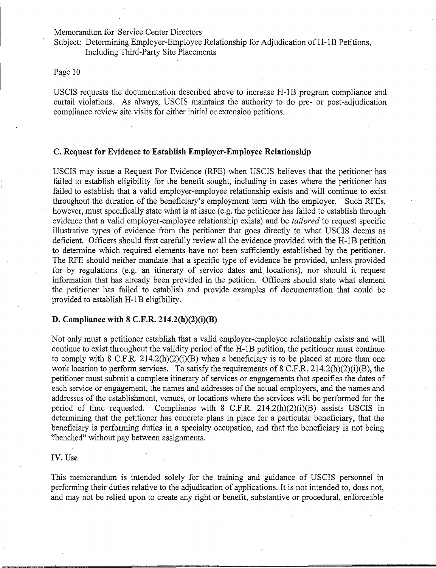Subject: Determining Employer-Employee Relationship for Adjudication of H-1B Petitions, Including Third-Party Site Placements

## Page 10

USCIS requests the documentation described above to increase H-IB program compliance and curtail violations. As always, USCIS maintains the authority to do pre- or post-adjudication compliance review site visits for either initial or extension petitions.

#### C. **Request for Evidence to Establish Employer-Employee Relationship**

USCIS may issue a Request For Evidence (RFE) when USCIS believes that the petitioner has . failed to establish eligibility for the benefit sought, including in cases where the petitioner has failed to establish that a valid employer-employee relationship exists and will continue to exist throughout the duration of the beneficiary's employment *term* with the employer. Such RFEs, however, must specifically state what is at issue (e.g. the petitioner has failed to establish through evidence that a valid employer-employee relationship exists) and be *tailored* to request specific illustrative types of evidence from the petitioner that goes directly to what USCIS deems as deficient. Officers should first carefully review all the evidence provided with the H-IB petition to determine which required elements have not been sufficiently established by the petitioner. The RFE should neither mandate that a specific type of evidence be provided, unless provided for by regulations (e.g. an itinerary of service dates and locations), nor should it request information that has already been provided in the petition. Officers should state what element the petitioner has failed to establish and provide examples of documentation that could be provided to establish H-IB eligibility.

### **D. Compliance with 8 C.F.R. 214.2(h)(2)(i)(B)**

Not only must a petitioner establish that a valid employer-employee relationship exists and will continue to exist throughout the validity period of the H-IB petition, the petitioner must continue to comply with 8 C.F.R.  $214.2(h)(2)(i)(B)$  when a beneficiary is to be placed at more than one work location to perform services. To satisfy the requirements of 8 C.F.R. 214.2(h)(2)(i)(B), the petitioner must submit a complete itinerary of services or engagements that specifies the dates of each service or engagement, the names and addresses of the actual employers, and the names and addresses of the establishment, venues, or locations where the services will be performed for the period of time requested. Compliance with 8 C.F.R. 214.2(h)(2)(i)(B) assists USCIS in determining that the petitioner has concrete plans in place for a particular beneficiary, that the beneficiary is performing duties in a specialty occupation, and that the beneficiary is not being ','benched" without pay between assignments. .

#### **IV.** Use

This memorandum is intended solely for the training and guidance of USCIS personnel in performing their duties relative to the adjudication of applications. It is not intended to, does not, and may not be relied upon to create any right or benefit, substantive or procedural, enforceable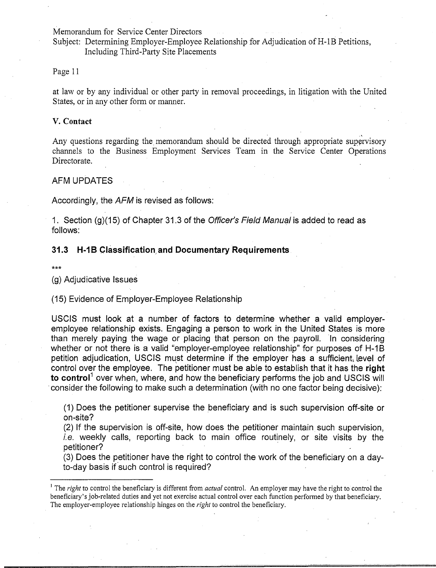Subject: Determining Employer-Employee Relationship for Adjudication of H-1B Petitions, Including Third-Party Site Placements

Page 11

at law or by any individual or other party in removal proceedings, in litigation with the United States, or in any other form or manner. .

#### V. Contact

Any questions regarding the memorandum should be directed through appropriate supervisory channels to the Business Employment Services Team in the Service Center Operations Directorate.

#### AFM UPDATES

Accordingly, the AFM is revised as follows:

1. Section (g)(15) of Chapter 31.3 of the Officer's Field Manual is added to read as follows:

### **31.3 H-1B Classification and Documentary Requirements**

\*\*\*

(g) Adjudicative Issues

(15) Evidence of Employer-Employee Relationship

USCIS must look at a number of factors to determine whether a valid employeremployee relationship exists. Engaging a person to work in the United States is more . than merely paying the wage or placing that person on the payroll. In considering whether or not there is a valid "employer-employee relationship" for purposes of H-1B petition adjudication, USCIS must determine if the employer has a sufficient, level of control over the employee. The petitioner must be able to establish that it has the **right to control** over when, where, and how the beneficiary performs the job and USCIS will . consider the following to make such a determination (with no one factor being decisive):

(1) Does the petitioner supervise the beneficiary and is such supervision off-site or on-site?

(2) If the supervision is off-site, how does the petitioner maintain such supervision, i.e. weekly calls, reporting back to main office routinely, or site visits by the petitioner? .

(3) Does the petitioner have the right to control the work of the beneficiary on a dayto-day basis if such control is required?

<sup>&</sup>lt;sup>1</sup> The *right* to control the beneficiary is different from *actual* control. An employer may have the right to control the beneficiary's job-related duties and yet not exercise actual control over each function performed by that beneficiary. The employer-employee relationship hinges on the *right* to control the beneficiary.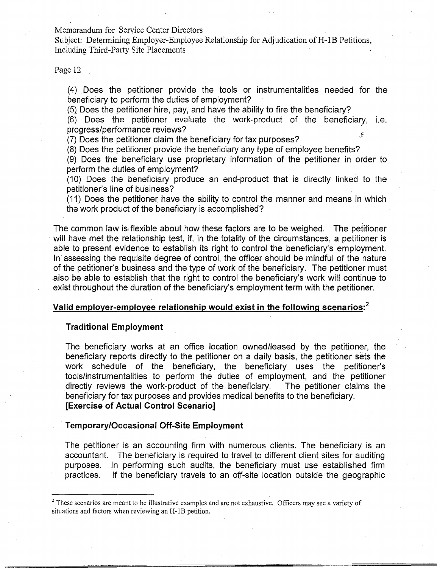Subject: Determining Employer-Employee Relationship for Adjudication of H-1B Petitions, Including Third-Party Site Placements

Page 12

(4) Does the petitioner provide the tools or instrumentalities needed for the beneficiary to perform the duties of employment?

(5) Does the petitioner hire, pay, and have the ability to fire the beneficiary?

(6) Does the petitioner evaluate the work-product of the beneficiary, i.e. progress/performance reviews?

(7) Does the petitioner claim the beneficiary for tax purposes?

(8) Does the petitioner provide the beneficiary any type of employee benefits?

(9) Does the beneficiary use proprietary information of the petitioner in order to perform the duties of employment?

(10) Does the beneficiary produce an end-product that is directly linked to the petitioner's line of business?

(11) Does the petitioner have the ability to control the manner and means in which the work product of the beneficiary is accomplished?

The common law is, flexible about how these factors are to be weighed. The petitioner will have met the relationship test, if, in the totality of the circumstances, a petitioner is able to present evidence to establish its right to control the beneficiary's employment. In assessing the requisite degree of control, the officer should be mindful of the nature of the petitioner's business and the type of work of the beneficiary. The petitioner must also be able to establish that the right to control the beneficiary's work will continue to exist throughout the duration of the beneficiary's employment term with the petitioner.

## **Valid** employer~employee **relationship would exist in the following scenarios: <sup>2</sup>**

## **Traditional Employment**

The beneficiary works at an office location owned/leased by the petitioner, the beneficiary reports directly to the petitioner on a daily basis, the petitioner sets the work schedule of the beneficiary, the beneficiary uses the petitioner's tools/instrumentalities to perform the duties of employment, and the petitioner directly reviews the work-product of the beneficiary. The petitioner claims the beneficiary for tax purposes and provides medical benefits to the beneficiary. **[Exercise of Actual Control Scenario]** 

### . **Temporary/Occasional Off-Site Employment**

The petitioner is an accounting firm with numerous clients. The beneficiary is an accountant. The beneficiary is required to travel to different client sites for auditing purposes. In performing such audits, the beneficiary must use established firm practices. If the beneficiary travels to an off-site location outside the geographic

<sup>&</sup>lt;sup>2</sup> These scenarios are meant to be illustrative examples and are not exhaustive. Officers may see a variety of situations and factors when reviewing an H-IB petition.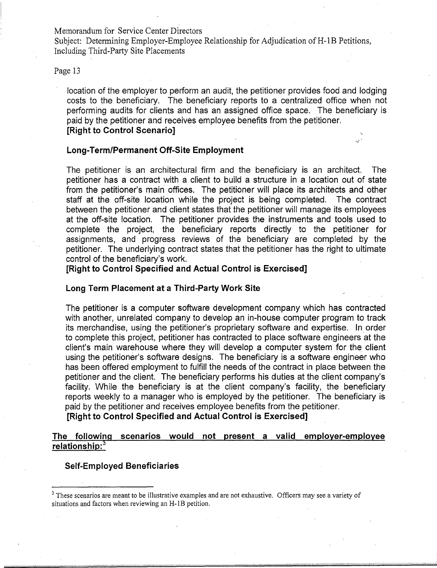Subject: Determining Employer-Employee Relationship for Adjudication of H-1B Petitions, Including Third-Party Site Placements

## Page 13

location of the employer to perform an audit, the petitioner provides food and lodging costs to the beneficiary. The beneficiary reports to a centralized office when not performing audits for clients and has an assigned office space. The beneficiary is paid by the petitioner and receives employee benefits from the petitioner. [Right to Control Scenario]

#### Long-Term/Permanent Off-Site Employment

The petitioner is an architectural firm and the beneficiary is an architect. The petitioner has a contract with a client to build a structure in a location out of state from the petitioner's main offices. The petitioner will place its architects and other staff at the off-site location while the project is being completed. The contract between the petitioner and client states that the petitioner will manage its employees at the off-site location. The petitioner provides the instruments and tools used to complete the project, the beneficiary reports directly to the petitioner for assignments, and progress reviews of the beneficiary are completed by the petitioner. The underlying contract states that the petitioner has the right to ultimate control of the beneficiary's work.

[Right to Control Specified and Actual Control is Exercised]

## Long Term Placement at a Third-Party Work Site

The petitioner is a computer software development company which has contracted with another, unrelated company to develop an in-house computer program to track its merchandise, using the petitioner's proprietary software and expertise. In order to complete this project, petitioner has contracted to place software engineers at the client's main warehouse where they will develop a computer system for the client using the petitioner's software designs. The beneficiary is a software engineer who has been offered employment to fulfill the needs of the contract in place between the petitioner and the client. The beneficiary performs his duties at the client company's facility. While the beneficiary is at the client company's facility, the beneficiary reports weekly to a manager who is employed by the petitioner. The beneficiary is paid by the petitioner and receives employee benefits from the petitioner.

[Right to Control Specified and Actual Control is Exercised]

## The following scenarios would not present a valid employer-employee relationship:<sup>3</sup>

#### Self-Employed Beneficiaries

 $3$  These scenarios are meant to be illustrative examples and are not exhaustive. Officers may see a variety of situations and factors when reviewing an H-IB petition.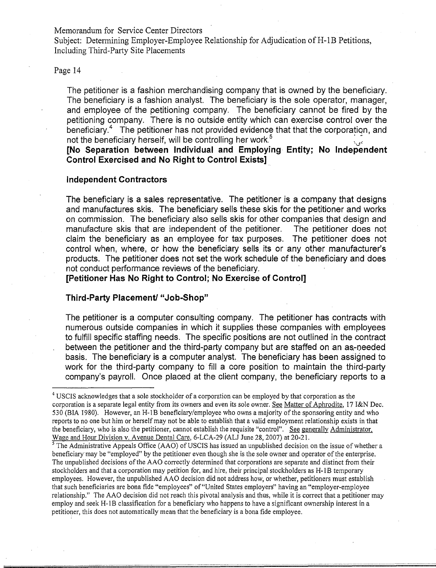Subject: Determining Employer-Employee Relationship for Adjudication of H-1B Petitions, Including Third-Party Site Placements

### Page 14

The petitioner is a fashion merchandising company that is owned by the beneficiary. The beneficiary is a fashion analyst. The beneficiary is the sole operator, manager, and employee of the petitioning company. The beneficiary cannot be fired by the petitioning company. There is no outside entity which can exercise control over the beneficiary.<sup>4</sup> The petitioner has not provided evidence that that the corporation, and not the beneficiary herself, will be controlling her work.<sup>5</sup>

**[No Separation between Individual and Employing Entity; No Independent Control Exercised and No Right to Control Exists] ..** 

## **Independent Contractors**

The beneficiary is a sales representative. The petitioner is a company that designs and manufactures skis. The beneficiary sells these skis for the petitioner and works on commission. The beneficiary also sells skis for other companies that design and manufacture skis that are independent of the petitioner. The petitioner does not claim the beneficiary as an employee for tax purposes. The petitioner does not control when, where, or how the beneficiary sells its or any other manufacturer's products. The petitioner does not set the work schedule of the beneficiary and does not conduct performance reviews of the beneficiary.

**[Petitioner Has No Right to Control; No Exercise of Control]** 

#### **Third-Party Placement! "Job-Shop"**

The petitioner is a computer consulting company. The petitioner has contracts with numerous outside companies in which it supplies these companies with employees to fulfill specific staffing needs. The specific positions are not outlined in the contract between the petitioner and the third-party company but are staffed on an as-needed basis. The beneficiary is a computer analyst. The beneficiary has been assigned to work for the third-party company to fill a core position to maintain the third-party company's payroll. Once placed at the client company, the beneficiary reports to a

<sup>5</sup> The Administrative Appeals Office (AAO) of USCIS has issued an unpublished decision on the issue of whether a beneficiary may be "employed" by the petitioner even though she is the sole owner and operator of the enterprise. The unpublished decisions of the AAO correctly determined that corporations are separate and distinct from their stockholders and that a corporation may petition for, and hire, their principal stockholders as H-1B temporary employees. However, the unpublished AAO decision did not address how, or whether, petitioners must establish that such beneficiaries are bona fide "employees" of "United States employers" having an "employer-employee relationship." The AAO decision did not reach this pivotal analysis and thus, while it is correct that a petitioner may employ and seek H-IB classification for a beneficiary who happens to have a significant ownership interest in a petitioner, this does not automatically mean that the beneficiary is a bona fide employee.

<sup>&</sup>lt;sup>4</sup> USCIS acknowledges that a sole stockholder of a corporation can be employed by that corporation as the corporation is a separate legal entity from its owners and even its sole owner. See Matter of Aphrodite, 17 I&N Dec. 530 (BIA 1980). However, an H-1B beneficiary/employee who owns a majority of the sponsoring entity and who reports to no one but him or herself may not be able to establish that a valid employment relationship exists in that the beneficiary, who is also the petitioner, cannot establish the requisite "control". See generally Administrator, Wage and Hour Division v. Avenue Dental Care, 6-LCA-29 (ALJ June 28, 2007) at 20-21.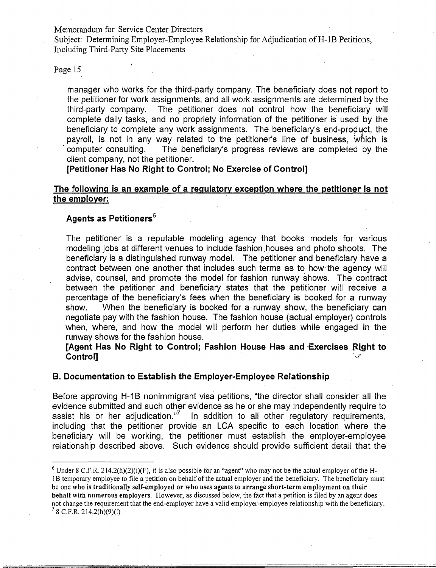Subject: Determining Employer-Employee Relationship for Adjudication of H-1B Petitions, Including Third-Party Site Placements

Page 15

manager who works for the third-party company. The beneficiary does not report to the petitioner for work assignments, and all work assignments are determined by the third-party company. The petitioner does not control how the beneficiary will complete daily tasks, and no propriety information of the petitioner is used by the beneficiary to complete any work assignments. The beneficiary's end-product, the payroll, is not in any way related to the petitioner's line of business, which is . computer consulting. The beneficiary's progress reviews are completed by the client company, not the petitioner.

**[Petitioner Has No Right to Control; No Exercise of Control]** 

## **The following is an example of a regulatory exception where the petitioner is not the employer:**

## Agents as Petitioners<sup>6</sup>

The petitioner is a reputable modeling agency that books models for various modeling jobs at different venues to include fashion houses and photo shoots. The beneficiary is a distinguished runway model. The petitioner and beneficiary have a contract between one another that includes such terms as to how the agency will advise, counsel, and promote the model for fashion runway shows. The contract between the petitioner and beneficiary states that the petitioner will receive a percentage of the beneficiary's fees when the beneficiary is booked for a runway show. When the beneficiary is booked for a runway show, the beneficiary can negotiate pay with the fashion house. The fashion house (actual employer) controls when, where, and how the model will perform her duties while engaged in the runway shows for the fashion house.

**[Agent Has No Right to Control: Fashion House Has and Exercises Right to Control]** " " .l

### **B. Documentation to Establish the Employer-Employee Relationship**

Before approving H-1B nonimmigrant visa petitions, "the director shall consider all the evidence submitted and such other evidence as he or she may independently require to assist his or her adjudication."<sup>7</sup> In addition to all other regulatory requirements, including that the petitioner provide an LCA specific to each location where the beneficiary will be working, the petitioner must establish the employer-employee relationship described above. Such evidence should provide sufficient detail that the

<sup>&</sup>lt;sup>6</sup> Under 8 C.F.R. 214.2(h)(2)(i)(F), it is also possible for an "agent" who may not be the actual employer of the H-I B temporary employee to file a petition on behalf of the actual employer and the beneficiary. The beneficiary must be one who is traditionally self-employed or who uses agents to arrange short-term employment on their behalf with numerous employers. However, as discussed below, the fact that a petition is filed by an agent does not change the requirement that the end-employer have a valid employer-employee relationship with the beneficiary.  $78$  C.F.R. 214.2(h)(9)(i)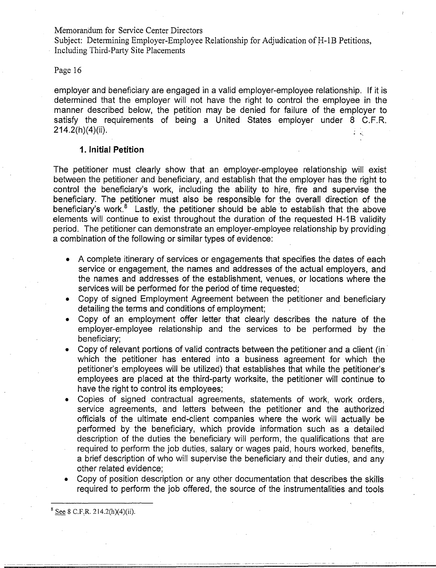Subject: Determining Employer-Employee Relationship for Adjudication of H-1B Petitions, Including Third-Party Site Placements

## Page 16

employer and beneficiary are engaged in a valid employer-employee relationship. If it is determined that the employer will not have the right to control the employee in the manner described below, the petition may be denied for failure of the employer to satisfy the requirements of being a United States employer under 8 C.F.R. 214.2(h)(4)(ii).

## **1. Initial Petition**

The petitioner must clearly show that an employer-employee relationship will exist between the petitioner and beneficiary, and establish that the employer has the right to control the beneficiary's work, including the ability to hire, fire and supervise the beneficiary. The petitioner must also be responsible for the overall direction of the beneficiary's work. $8$  Lastly, the petitioner should be able to establish that the above elements will continue to exist throughout the duration of the requested H-1B validity period. The petitioner can demonstrate an employer-employee relationship by providing a combination of the following or similar types of evidence:

- A complete itinerary of services or engagements that specifies the dates of each service or engagement, the names and addresses of the actual employers, and the names and addresses of the establishment, venues, or locations where the services will be performed for the period of time requested;
- Copy of signed Employment Agreement between the petitioner and beneficiary detailing the terms and conditions of employment;
- Copy of an employment offer letter that clearly describes the nature of the employer-employee relationship and the services to be performed by the beneficiary;
- Copy of relevant portions of valid contracts between the petitioner and a client (in  $\overline{a}$ which the petitioner has entered into a business agreement for which the petitioner's employees will be utilized) that establishes that while the petitioner's employees are placed at the third-party worksite, the petitioner will continue to have the right to control its employees;
- Copies of signed contractual agreements, statements of work, work orders, service agreements, and letters between the petitioner and the authorized officials of the ultimate end-client companies where the work will actually be performed by the beneficiary, which provide information such as a detailed description of the duties the beneficiary will perform, the qualifications that are required to perform the job duties, salary or wages paid, hours worked, benefits, a brief description of who will supervise the beneficiary and their duties, and any other related evidence;
- Copy of position description or any other documentation that describes the skills required to perform the job offered, the source of the instrumentalities and tools

 $8$  See 8 C.F.R. 214.2(h)(4)(ii).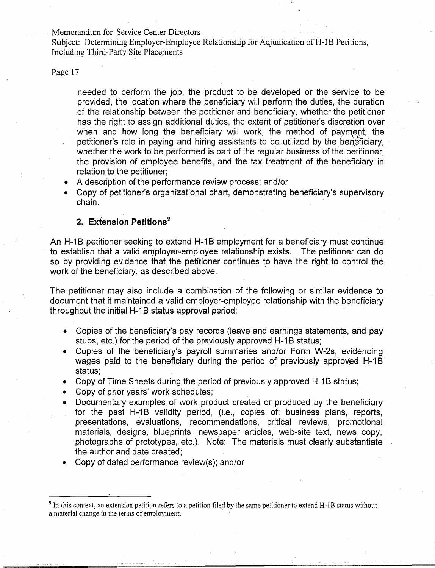Subject: Determining Employer-Employee Relationship for Adjudication of H-1B Petitions, Including Third-Party Site Placements

Page 17

needed to perform the job, the product to be developed or the service to be provided, the location where the beneficiary will perform the duties, the duration of the relationship between the petitioner and beneficiary, whether the petitioner has the right to assign additional duties, the extent of petitioner's discretion over when and how long the beneficiary will work, the method of payment, the petitioner's role in paying and hiring assistants to be utilized by the beneficiary, whether the work to be performed is part of the regular business of the petitioner, the provision of employee benefits, and the tax treatment of the beneficiary in relation to the petitioner;

- A description of the performance review process; and/or
- Copy of petitioner's organizational chart, demonstrating beneficiary's supervisory chain.

## **2. Extension Petitions<sup>9</sup>**

An H-1B petitioner seeking to extend H-1B employment for a beneficiary must continue to establish that a valid employer-employee relationship exists. The petitioner can do so by providing evidence that the petitioner continues to have the right to control the work of the beneficiary, as described above.

The petitioner may also include a combination of the following or similar evidence to document that it maintained a valid employer-employee relationship with the beneficiary throughout the initial H-1B status approval period:

- Copies of the beneficiary's pay records (leave and earnings statements, and pay stubs, etc.) for the period of the previously approved H-1B status;
- Copies of the beneficiary's payroll summaries and/or Form W-2s, evidencing wages paid to the beneficiary during the period of previously approved H-1B status;
- Copy of Time Sheets during the period of previously approved H-1B status;
- Copy of prior years' work schedules;
- Documentary examples of work product created or produced by the beneficiary for the past H-1B validity period, (i.e., copies of: business plans, reports, presentations, evaluations, recommendations, critical reviews, promotional materials, designs, blueprints, newspaper articles, web-site text, news copy, photographs of prototypes, etc.). Note: The materials must clearly substantiate the author and date created;
- Copy of dated performance review(s); and/or

 $9$  In this context, an extension petition refers to a petition filed by the same petitioner to extend H-1B status without a material change in the terms of employment. .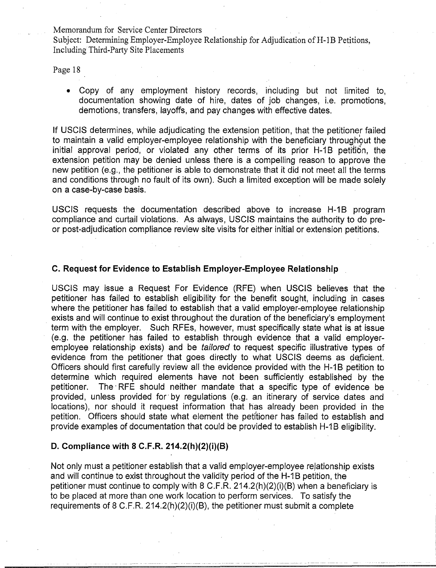Subject: Determining Employer-Employee Relationship for Adjudication of H-1B Petitions, Including Third-Party Site Placements

Page 18

• Copy of any employment history records, including but not limited to, documentation showing date of hire, dates of job changes, i.e. promotions, demotions, transfers, layoffs, and pay changes with effective dates.

If USCIS determines, while adjudicating the extension petition, that the petitioner failed to maintain a valid employer-employee relationship with the beneficiary throughout the initial approval period, or violated any other terms of its prior H-1B petition, the extension petition may be denied unless there is a compelling reason to approve the new petition (e.g., the petitioner is able to demonstrate that it did not meet all the terms and conditions through no fault of its own). Such a limited exception will be made solely on a case-by-case basis.

USCIS requests the documentation described above to increase H-1B program compliance and curtail violations. As always, USCIS maintains the authority to do preor post-adjudication compliance review site visits for either initial or extension petitions.

## C. Request for Evidence to Establish Employer-Employee Relationship

USCIS may issue a Request For Evidence (RFE) when USCIS believes that the petitioner has failed to establish eligibility for the benefit sought, including in cases where the petitioner has failed to establish that a valid employer-employee relationship exists and will continue to exist throughout the duration of the beneficiary's employment term with the employer. Such RFEs, however, must specifically state what is at issue (e.g. the petitioner has failed to establish through evidence that a valid employeremployee relationship exists) and be tailored to request specific illustrative types of evidence from the petitioner that goes directly to what USCIS deems as deficient. Officers should first carefully review all the evidence provided with the H-1B petition to determine which required elements have not been sufficiently established by the petitioner. The" RFE should neither mandate that a specific type of evidence be provided, unless provided for' by regulations (e.g. an itinerary of service dates and locations), nor should it request information that has already been provided in the petition. Officers should state what element the petitioner has failed to establish and provide examples of documentation that could be provided to establish H-1B eligibility.

## D. Compliance with 8 C.F.R. 214.2(h)(2)(i)(B)

Not only must a petitioner establish that a valid employer-employee rejationship exists and will continue to exist throughout the validity period of the H-1B petition, the petitioner must continue to comply with 8 C.F.R. 214.2(h)(2)(i)(B) when a beneficiary is to be placed at more than one work location to perform services. To satisfy the requirements of 8 C.F.R. 214.2(h)(2)(i)(B), the petitioner must submit a complete